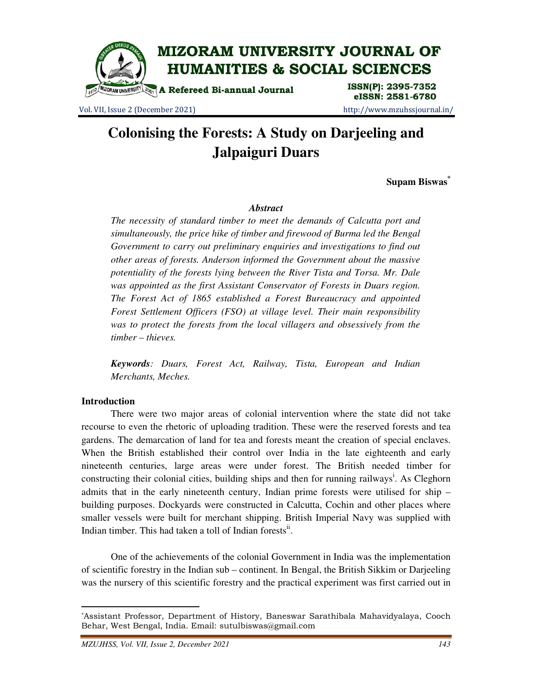

Vol. VII, Issue 2 (December 2021) http://www.mzuhssjournal.in/

eISSN: 2581-6780

# **Colonising the Forests: A Study on Darjeeling and Jalpaiguri Duars**

**Supam Biswas\***

# *Abstract*

*The necessity of standard timber to meet the demands of Calcutta port and simultaneously, the price hike of timber and firewood of Burma led the Bengal Government to carry out preliminary enquiries and investigations to find out other areas of forests. Anderson informed the Government about the massive potentiality of the forests lying between the River Tista and Torsa. Mr. Dale was appointed as the first Assistant Conservator of Forests in Duars region. The Forest Act of 1865 established a Forest Bureaucracy and appointed Forest Settlement Officers (FSO) at village level. Their main responsibility*  was to protect the forests from the local villagers and obsessively from the *timber – thieves.* 

*Keywords: Duars, Forest Act, Railway, Tista, European and Indian Merchants, Meches.* 

# **Introduction**

 $\overline{a}$ 

 There were two major areas of colonial intervention where the state did not take recourse to even the rhetoric of uploading tradition. These were the reserved forests and tea gardens. The demarcation of land for tea and forests meant the creation of special enclaves. When the British established their control over India in the late eighteenth and early nineteenth centuries, large areas were under forest. The British needed timber for constructing their colonial cities, building ships and then for running railways<sup>i</sup>. As Cleghorn admits that in the early nineteenth century, Indian prime forests were utilised for ship – building purposes. Dockyards were constructed in Calcutta, Cochin and other places where smaller vessels were built for merchant shipping. British Imperial Navy was supplied with Indian timber. This had taken a toll of Indian forests<sup>ii</sup>.

 One of the achievements of the colonial Government in India was the implementation of scientific forestry in the Indian sub – continent. In Bengal, the British Sikkim or Darjeeling was the nursery of this scientific forestry and the practical experiment was first carried out in

<sup>\*</sup>Assistant Professor, Department of History, Baneswar Sarathibala Mahavidyalaya, Cooch Behar, West Bengal, India. Email: sutulbiswas@gmail.com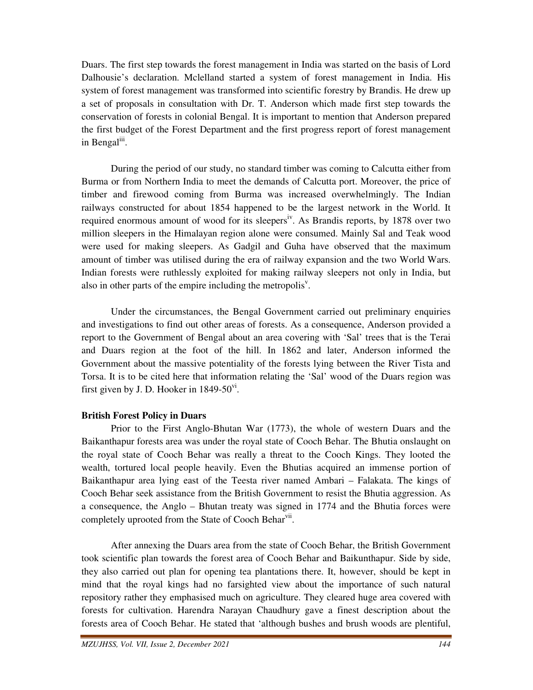Duars. The first step towards the forest management in India was started on the basis of Lord Dalhousie's declaration. Mclelland started a system of forest management in India. His system of forest management was transformed into scientific forestry by Brandis. He drew up a set of proposals in consultation with Dr. T. Anderson which made first step towards the conservation of forests in colonial Bengal. It is important to mention that Anderson prepared the first budget of the Forest Department and the first progress report of forest management in Bengal<sup>iii</sup>.

 During the period of our study, no standard timber was coming to Calcutta either from Burma or from Northern India to meet the demands of Calcutta port. Moreover, the price of timber and firewood coming from Burma was increased overwhelmingly. The Indian railways constructed for about 1854 happened to be the largest network in the World. It required enormous amount of wood for its sleepers<sup>iv</sup>. As Brandis reports, by 1878 over two million sleepers in the Himalayan region alone were consumed. Mainly Sal and Teak wood were used for making sleepers. As Gadgil and Guha have observed that the maximum amount of timber was utilised during the era of railway expansion and the two World Wars. Indian forests were ruthlessly exploited for making railway sleepers not only in India, but also in other parts of the empire including the metropolis<sup> $v$ </sup>.

 Under the circumstances, the Bengal Government carried out preliminary enquiries and investigations to find out other areas of forests. As a consequence, Anderson provided a report to the Government of Bengal about an area covering with 'Sal' trees that is the Terai and Duars region at the foot of the hill. In 1862 and later, Anderson informed the Government about the massive potentiality of the forests lying between the River Tista and Torsa. It is to be cited here that information relating the 'Sal' wood of the Duars region was first given by J. D. Hooker in  $1849-50$ <sup>vi</sup>.

# **British Forest Policy in Duars**

 Prior to the First Anglo-Bhutan War (1773), the whole of western Duars and the Baikanthapur forests area was under the royal state of Cooch Behar. The Bhutia onslaught on the royal state of Cooch Behar was really a threat to the Cooch Kings. They looted the wealth, tortured local people heavily. Even the Bhutias acquired an immense portion of Baikanthapur area lying east of the Teesta river named Ambari – Falakata. The kings of Cooch Behar seek assistance from the British Government to resist the Bhutia aggression. As a consequence, the Anglo – Bhutan treaty was signed in 1774 and the Bhutia forces were completely uprooted from the State of Cooch Behar<sup>vii</sup>.

 After annexing the Duars area from the state of Cooch Behar, the British Government took scientific plan towards the forest area of Cooch Behar and Baikunthapur. Side by side, they also carried out plan for opening tea plantations there. It, however, should be kept in mind that the royal kings had no farsighted view about the importance of such natural repository rather they emphasised much on agriculture. They cleared huge area covered with forests for cultivation. Harendra Narayan Chaudhury gave a finest description about the forests area of Cooch Behar. He stated that 'although bushes and brush woods are plentiful,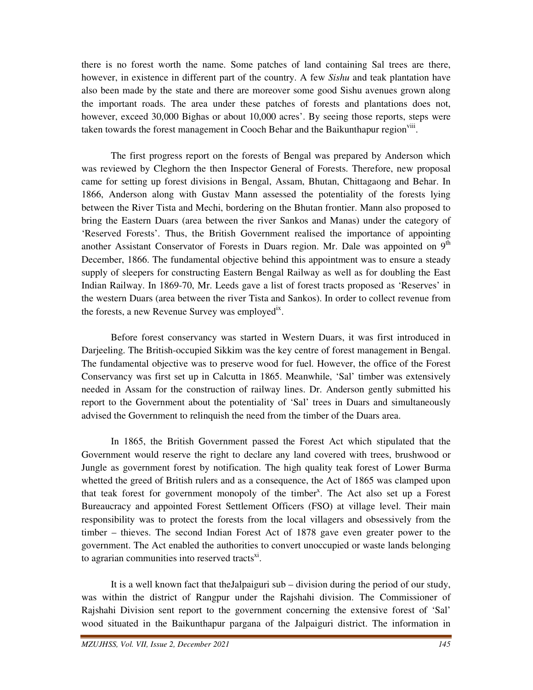there is no forest worth the name. Some patches of land containing Sal trees are there, however, in existence in different part of the country. A few *Sishu* and teak plantation have also been made by the state and there are moreover some good Sishu avenues grown along the important roads. The area under these patches of forests and plantations does not, however, exceed 30,000 Bighas or about 10,000 acres'. By seeing those reports, steps were taken towards the forest management in Cooch Behar and the Baikunthapur region<sup>viii</sup>.

 The first progress report on the forests of Bengal was prepared by Anderson which was reviewed by Cleghorn the then Inspector General of Forests. Therefore, new proposal came for setting up forest divisions in Bengal, Assam, Bhutan, Chittagaong and Behar. In 1866, Anderson along with Gustav Mann assessed the potentiality of the forests lying between the River Tista and Mechi, bordering on the Bhutan frontier. Mann also proposed to bring the Eastern Duars (area between the river Sankos and Manas) under the category of 'Reserved Forests'. Thus, the British Government realised the importance of appointing another Assistant Conservator of Forests in Duars region. Mr. Dale was appointed on 9<sup>th</sup> December, 1866. The fundamental objective behind this appointment was to ensure a steady supply of sleepers for constructing Eastern Bengal Railway as well as for doubling the East Indian Railway. In 1869-70, Mr. Leeds gave a list of forest tracts proposed as 'Reserves' in the western Duars (area between the river Tista and Sankos). In order to collect revenue from the forests, a new Revenue Survey was employed<sup>ix</sup>.

 Before forest conservancy was started in Western Duars, it was first introduced in Darjeeling. The British-occupied Sikkim was the key centre of forest management in Bengal. The fundamental objective was to preserve wood for fuel. However, the office of the Forest Conservancy was first set up in Calcutta in 1865. Meanwhile, 'Sal' timber was extensively needed in Assam for the construction of railway lines. Dr. Anderson gently submitted his report to the Government about the potentiality of 'Sal' trees in Duars and simultaneously advised the Government to relinquish the need from the timber of the Duars area.

 In 1865, the British Government passed the Forest Act which stipulated that the Government would reserve the right to declare any land covered with trees, brushwood or Jungle as government forest by notification. The high quality teak forest of Lower Burma whetted the greed of British rulers and as a consequence, the Act of 1865 was clamped upon that teak forest for government monopoly of the timber<sup>x</sup>. The Act also set up a Forest Bureaucracy and appointed Forest Settlement Officers (FSO) at village level. Their main responsibility was to protect the forests from the local villagers and obsessively from the timber – thieves. The second Indian Forest Act of 1878 gave even greater power to the government. The Act enabled the authorities to convert unoccupied or waste lands belonging to agrarian communities into reserved tracts $x_i$ .

 It is a well known fact that theJalpaiguri sub – division during the period of our study, was within the district of Rangpur under the Rajshahi division. The Commissioner of Rajshahi Division sent report to the government concerning the extensive forest of 'Sal' wood situated in the Baikunthapur pargana of the Jalpaiguri district. The information in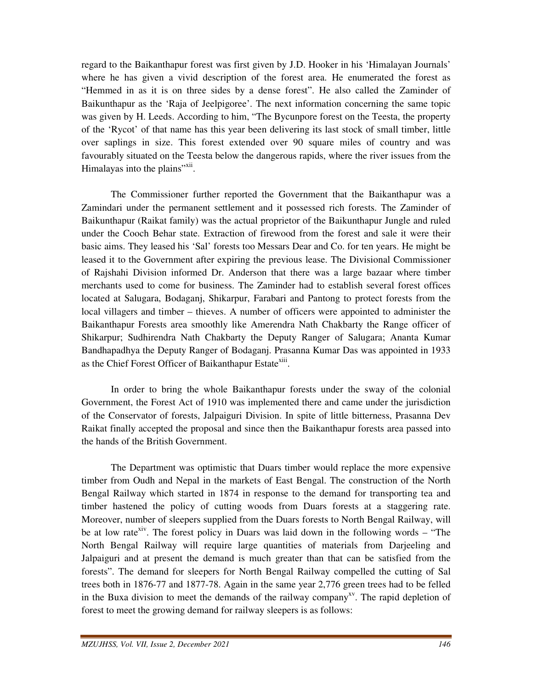regard to the Baikanthapur forest was first given by J.D. Hooker in his 'Himalayan Journals' where he has given a vivid description of the forest area. He enumerated the forest as "Hemmed in as it is on three sides by a dense forest". He also called the Zaminder of Baikunthapur as the 'Raja of Jeelpigoree'. The next information concerning the same topic was given by H. Leeds. According to him, "The Bycunpore forest on the Teesta, the property of the 'Rycot' of that name has this year been delivering its last stock of small timber, little over saplings in size. This forest extended over 90 square miles of country and was favourably situated on the Teesta below the dangerous rapids, where the river issues from the Himalayas into the plains"<sup>xii</sup>.

 The Commissioner further reported the Government that the Baikanthapur was a Zamindari under the permanent settlement and it possessed rich forests. The Zaminder of Baikunthapur (Raikat family) was the actual proprietor of the Baikunthapur Jungle and ruled under the Cooch Behar state. Extraction of firewood from the forest and sale it were their basic aims. They leased his 'Sal' forests too Messars Dear and Co. for ten years. He might be leased it to the Government after expiring the previous lease. The Divisional Commissioner of Rajshahi Division informed Dr. Anderson that there was a large bazaar where timber merchants used to come for business. The Zaminder had to establish several forest offices located at Salugara, Bodaganj, Shikarpur, Farabari and Pantong to protect forests from the local villagers and timber – thieves. A number of officers were appointed to administer the Baikanthapur Forests area smoothly like Amerendra Nath Chakbarty the Range officer of Shikarpur; Sudhirendra Nath Chakbarty the Deputy Ranger of Salugara; Ananta Kumar Bandhapadhya the Deputy Ranger of Bodaganj. Prasanna Kumar Das was appointed in 1933 as the Chief Forest Officer of Baikanthapur Estate<sup>xiii</sup>.

 In order to bring the whole Baikanthapur forests under the sway of the colonial Government, the Forest Act of 1910 was implemented there and came under the jurisdiction of the Conservator of forests, Jalpaiguri Division. In spite of little bitterness, Prasanna Dev Raikat finally accepted the proposal and since then the Baikanthapur forests area passed into the hands of the British Government.

 The Department was optimistic that Duars timber would replace the more expensive timber from Oudh and Nepal in the markets of East Bengal. The construction of the North Bengal Railway which started in 1874 in response to the demand for transporting tea and timber hastened the policy of cutting woods from Duars forests at a staggering rate. Moreover, number of sleepers supplied from the Duars forests to North Bengal Railway, will be at low rate<sup>xiv</sup>. The forest policy in Duars was laid down in the following words – "The North Bengal Railway will require large quantities of materials from Darjeeling and Jalpaiguri and at present the demand is much greater than that can be satisfied from the forests". The demand for sleepers for North Bengal Railway compelled the cutting of Sal trees both in 1876-77 and 1877-78. Again in the same year 2,776 green trees had to be felled in the Buxa division to meet the demands of the railway company<sup>xy</sup>. The rapid depletion of forest to meet the growing demand for railway sleepers is as follows: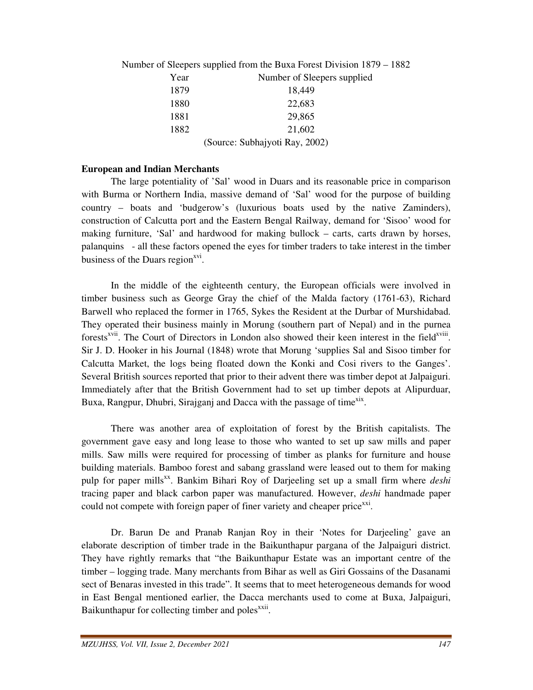|                                | Number of Sleepers supplied from the Buxa Forest Division 1879 – 1882 |
|--------------------------------|-----------------------------------------------------------------------|
| Year                           | Number of Sleepers supplied                                           |
| 1879                           | 18,449                                                                |
| 1880                           | 22,683                                                                |
| 1881                           | 29,865                                                                |
| 1882                           | 21,602                                                                |
| (Source: Subhajyoti Ray, 2002) |                                                                       |

### **European and Indian Merchants**

 The large potentiality of 'Sal' wood in Duars and its reasonable price in comparison with Burma or Northern India, massive demand of 'Sal' wood for the purpose of building country – boats and 'budgerow's (luxurious boats used by the native Zaminders), construction of Calcutta port and the Eastern Bengal Railway, demand for 'Sisoo' wood for making furniture, 'Sal' and hardwood for making bullock – carts, carts drawn by horses, palanquins - all these factors opened the eyes for timber traders to take interest in the timber business of the Duars region<sup>xvi</sup>.

 In the middle of the eighteenth century, the European officials were involved in timber business such as George Gray the chief of the Malda factory (1761-63), Richard Barwell who replaced the former in 1765, Sykes the Resident at the Durbar of Murshidabad. They operated their business mainly in Morung (southern part of Nepal) and in the purnea forests<sup>xvii</sup>. The Court of Directors in London also showed their keen interest in the field<sup>xviii</sup>. Sir J. D. Hooker in his Journal (1848) wrote that Morung 'supplies Sal and Sisoo timber for Calcutta Market, the logs being floated down the Konki and Cosi rivers to the Ganges'. Several British sources reported that prior to their advent there was timber depot at Jalpaiguri. Immediately after that the British Government had to set up timber depots at Alipurduar, Buxa, Rangpur, Dhubri, Sirajganj and Dacca with the passage of time<sup>xix</sup>.

 There was another area of exploitation of forest by the British capitalists. The government gave easy and long lease to those who wanted to set up saw mills and paper mills. Saw mills were required for processing of timber as planks for furniture and house building materials. Bamboo forest and sabang grassland were leased out to them for making pulp for paper mills<sup>xx</sup>. Bankim Bihari Roy of Darjeeling set up a small firm where *deshi* tracing paper and black carbon paper was manufactured. However, *deshi* handmade paper could not compete with foreign paper of finer variety and cheaper price<sup>xxi</sup>.

 Dr. Barun De and Pranab Ranjan Roy in their 'Notes for Darjeeling' gave an elaborate description of timber trade in the Baikunthapur pargana of the Jalpaiguri district. They have rightly remarks that "the Baikunthapur Estate was an important centre of the timber – logging trade. Many merchants from Bihar as well as Giri Gossains of the Dasanami sect of Benaras invested in this trade". It seems that to meet heterogeneous demands for wood in East Bengal mentioned earlier, the Dacca merchants used to come at Buxa, Jalpaiguri, Baikunthapur for collecting timber and poles<sup>xxii</sup>.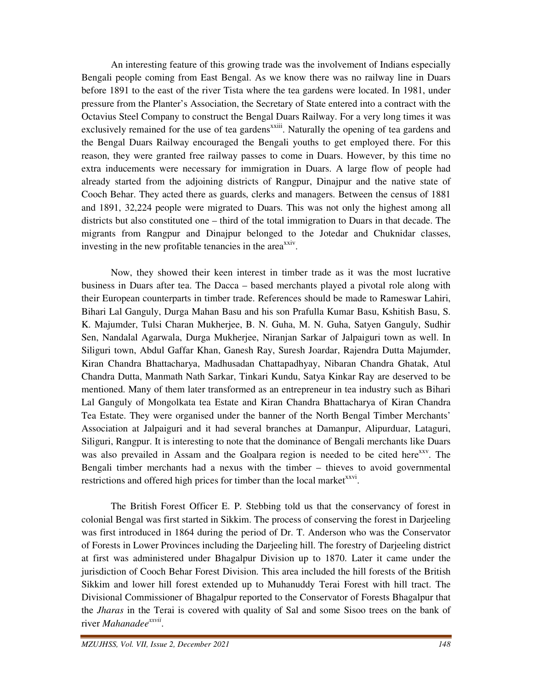An interesting feature of this growing trade was the involvement of Indians especially Bengali people coming from East Bengal. As we know there was no railway line in Duars before 1891 to the east of the river Tista where the tea gardens were located. In 1981, under pressure from the Planter's Association, the Secretary of State entered into a contract with the Octavius Steel Company to construct the Bengal Duars Railway. For a very long times it was exclusively remained for the use of tea gardens<sup>xxiii</sup>. Naturally the opening of tea gardens and the Bengal Duars Railway encouraged the Bengali youths to get employed there. For this reason, they were granted free railway passes to come in Duars. However, by this time no extra inducements were necessary for immigration in Duars. A large flow of people had already started from the adjoining districts of Rangpur, Dinajpur and the native state of Cooch Behar. They acted there as guards, clerks and managers. Between the census of 1881 and 1891, 32,224 people were migrated to Duars. This was not only the highest among all districts but also constituted one – third of the total immigration to Duars in that decade. The migrants from Rangpur and Dinajpur belonged to the Jotedar and Chuknidar classes, investing in the new profitable tenancies in the area<sup>xxiv</sup>.

 Now, they showed their keen interest in timber trade as it was the most lucrative business in Duars after tea. The Dacca – based merchants played a pivotal role along with their European counterparts in timber trade. References should be made to Rameswar Lahiri, Bihari Lal Ganguly, Durga Mahan Basu and his son Prafulla Kumar Basu, Kshitish Basu, S. K. Majumder, Tulsi Charan Mukherjee, B. N. Guha, M. N. Guha, Satyen Ganguly, Sudhir Sen, Nandalal Agarwala, Durga Mukherjee, Niranjan Sarkar of Jalpaiguri town as well. In Siliguri town, Abdul Gaffar Khan, Ganesh Ray, Suresh Joardar, Rajendra Dutta Majumder, Kiran Chandra Bhattacharya, Madhusadan Chattapadhyay, Nibaran Chandra Ghatak, Atul Chandra Dutta, Manmath Nath Sarkar, Tinkari Kundu, Satya Kinkar Ray are deserved to be mentioned. Many of them later transformed as an entrepreneur in tea industry such as Bihari Lal Ganguly of Mongolkata tea Estate and Kiran Chandra Bhattacharya of Kiran Chandra Tea Estate. They were organised under the banner of the North Bengal Timber Merchants' Association at Jalpaiguri and it had several branches at Damanpur, Alipurduar, Lataguri, Siliguri, Rangpur. It is interesting to note that the dominance of Bengali merchants like Duars was also prevailed in Assam and the Goalpara region is needed to be cited here<sup>xxv</sup>. The Bengali timber merchants had a nexus with the timber – thieves to avoid governmental restrictions and offered high prices for timber than the local market $x$ <sup>xxvi</sup>.

 The British Forest Officer E. P. Stebbing told us that the conservancy of forest in colonial Bengal was first started in Sikkim. The process of conserving the forest in Darjeeling was first introduced in 1864 during the period of Dr. T. Anderson who was the Conservator of Forests in Lower Provinces including the Darjeeling hill. The forestry of Darjeeling district at first was administered under Bhagalpur Division up to 1870. Later it came under the jurisdiction of Cooch Behar Forest Division. This area included the hill forests of the British Sikkim and lower hill forest extended up to Muhanuddy Terai Forest with hill tract. The Divisional Commissioner of Bhagalpur reported to the Conservator of Forests Bhagalpur that the *Jharas* in the Terai is covered with quality of Sal and some Sisoo trees on the bank of river *Mahanadeexxvii* .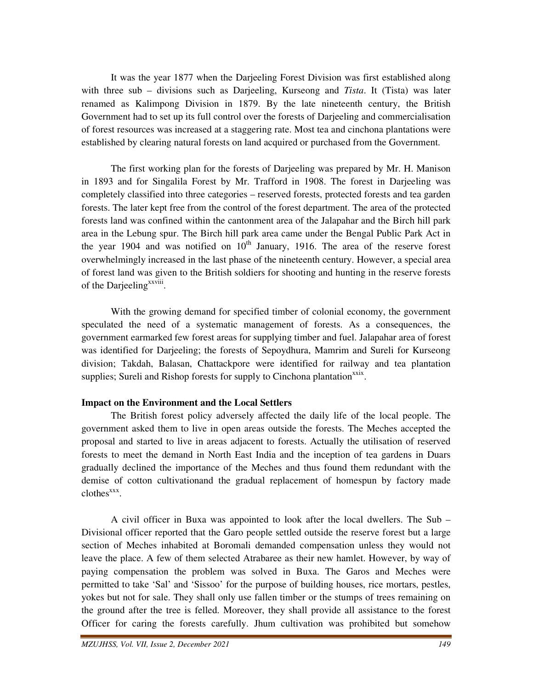It was the year 1877 when the Darjeeling Forest Division was first established along with three sub – divisions such as Darjeeling, Kurseong and *Tista*. It (Tista) was later renamed as Kalimpong Division in 1879. By the late nineteenth century, the British Government had to set up its full control over the forests of Darjeeling and commercialisation of forest resources was increased at a staggering rate. Most tea and cinchona plantations were established by clearing natural forests on land acquired or purchased from the Government.

 The first working plan for the forests of Darjeeling was prepared by Mr. H. Manison in 1893 and for Singalila Forest by Mr. Trafford in 1908. The forest in Darjeeling was completely classified into three categories – reserved forests, protected forests and tea garden forests. The later kept free from the control of the forest department. The area of the protected forests land was confined within the cantonment area of the Jalapahar and the Birch hill park area in the Lebung spur. The Birch hill park area came under the Bengal Public Park Act in the year 1904 and was notified on  $10<sup>th</sup>$  January, 1916. The area of the reserve forest overwhelmingly increased in the last phase of the nineteenth century. However, a special area of forest land was given to the British soldiers for shooting and hunting in the reserve forests of the Darjeeling<sup>xxviii</sup>.

 With the growing demand for specified timber of colonial economy, the government speculated the need of a systematic management of forests. As a consequences, the government earmarked few forest areas for supplying timber and fuel. Jalapahar area of forest was identified for Darjeeling; the forests of Sepoydhura, Mamrim and Sureli for Kurseong division; Takdah, Balasan, Chattackpore were identified for railway and tea plantation supplies; Sureli and Rishop forests for supply to Cinchona plantation<sup>xxix</sup>.

# **Impact on the Environment and the Local Settlers**

 The British forest policy adversely affected the daily life of the local people. The government asked them to live in open areas outside the forests. The Meches accepted the proposal and started to live in areas adjacent to forests. Actually the utilisation of reserved forests to meet the demand in North East India and the inception of tea gardens in Duars gradually declined the importance of the Meches and thus found them redundant with the demise of cotton cultivationand the gradual replacement of homespun by factory made clothes<sup>xxx</sup>.

 A civil officer in Buxa was appointed to look after the local dwellers. The Sub – Divisional officer reported that the Garo people settled outside the reserve forest but a large section of Meches inhabited at Boromali demanded compensation unless they would not leave the place. A few of them selected Atrabaree as their new hamlet. However, by way of paying compensation the problem was solved in Buxa. The Garos and Meches were permitted to take 'Sal' and 'Sissoo' for the purpose of building houses, rice mortars, pestles, yokes but not for sale. They shall only use fallen timber or the stumps of trees remaining on the ground after the tree is felled. Moreover, they shall provide all assistance to the forest Officer for caring the forests carefully. Jhum cultivation was prohibited but somehow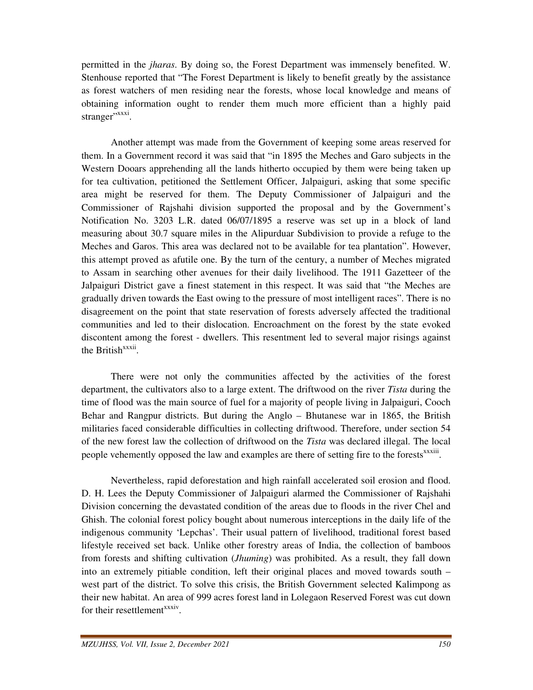permitted in the *jharas*. By doing so, the Forest Department was immensely benefited. W. Stenhouse reported that "The Forest Department is likely to benefit greatly by the assistance as forest watchers of men residing near the forests, whose local knowledge and means of obtaining information ought to render them much more efficient than a highly paid stranger"<sup>xxxi</sup>.

 Another attempt was made from the Government of keeping some areas reserved for them. In a Government record it was said that "in 1895 the Meches and Garo subjects in the Western Dooars apprehending all the lands hitherto occupied by them were being taken up for tea cultivation, petitioned the Settlement Officer, Jalpaiguri, asking that some specific area might be reserved for them. The Deputy Commissioner of Jalpaiguri and the Commissioner of Rajshahi division supported the proposal and by the Government's Notification No. 3203 L.R. dated 06/07/1895 a reserve was set up in a block of land measuring about 30.7 square miles in the Alipurduar Subdivision to provide a refuge to the Meches and Garos. This area was declared not to be available for tea plantation". However, this attempt proved as afutile one. By the turn of the century, a number of Meches migrated to Assam in searching other avenues for their daily livelihood. The 1911 Gazetteer of the Jalpaiguri District gave a finest statement in this respect. It was said that "the Meches are gradually driven towards the East owing to the pressure of most intelligent races". There is no disagreement on the point that state reservation of forests adversely affected the traditional communities and led to their dislocation. Encroachment on the forest by the state evoked discontent among the forest - dwellers. This resentment led to several major risings against the British<sup>xxxii</sup>.

 There were not only the communities affected by the activities of the forest department, the cultivators also to a large extent. The driftwood on the river *Tista* during the time of flood was the main source of fuel for a majority of people living in Jalpaiguri, Cooch Behar and Rangpur districts. But during the Anglo – Bhutanese war in 1865, the British militaries faced considerable difficulties in collecting driftwood. Therefore, under section 54 of the new forest law the collection of driftwood on the *Tista* was declared illegal. The local people vehemently opposed the law and examples are there of setting fire to the forests<sup>xxxiii</sup>.

 Nevertheless, rapid deforestation and high rainfall accelerated soil erosion and flood. D. H. Lees the Deputy Commissioner of Jalpaiguri alarmed the Commissioner of Rajshahi Division concerning the devastated condition of the areas due to floods in the river Chel and Ghish. The colonial forest policy bought about numerous interceptions in the daily life of the indigenous community 'Lepchas'. Their usual pattern of livelihood, traditional forest based lifestyle received set back. Unlike other forestry areas of India, the collection of bamboos from forests and shifting cultivation (*Jhuming*) was prohibited. As a result, they fall down into an extremely pitiable condition, left their original places and moved towards south – west part of the district. To solve this crisis, the British Government selected Kalimpong as their new habitat. An area of 999 acres forest land in Lolegaon Reserved Forest was cut down for their resettlement<sup>xxxiv</sup>.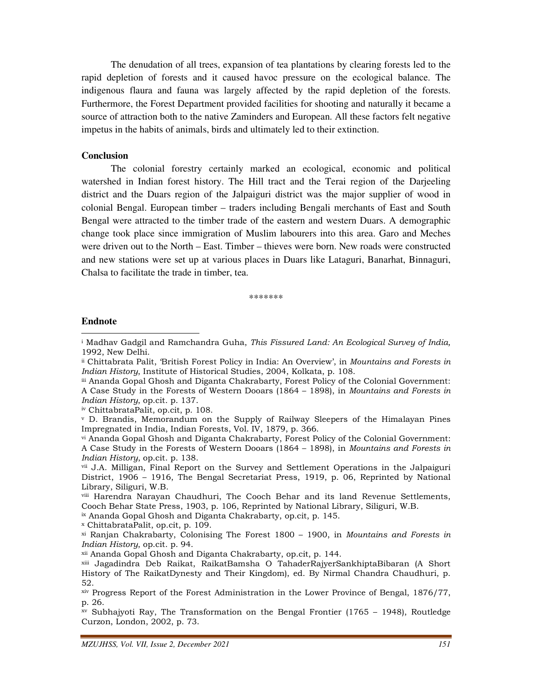The denudation of all trees, expansion of tea plantations by clearing forests led to the rapid depletion of forests and it caused havoc pressure on the ecological balance. The indigenous flaura and fauna was largely affected by the rapid depletion of the forests. Furthermore, the Forest Department provided facilities for shooting and naturally it became a source of attraction both to the native Zaminders and European. All these factors felt negative impetus in the habits of animals, birds and ultimately led to their extinction.

#### **Conclusion**

 The colonial forestry certainly marked an ecological, economic and political watershed in Indian forest history. The Hill tract and the Terai region of the Darjeeling district and the Duars region of the Jalpaiguri district was the major supplier of wood in colonial Bengal. European timber – traders including Bengali merchants of East and South Bengal were attracted to the timber trade of the eastern and western Duars. A demographic change took place since immigration of Muslim labourers into this area. Garo and Meches were driven out to the North – East. Timber – thieves were born. New roads were constructed and new stations were set up at various places in Duars like Lataguri, Banarhat, Binnaguri, Chalsa to facilitate the trade in timber, tea.

\*\*\*\*\*\*\*

#### **Endnote**  <u>.</u>

- ii Chittabrata Palit, 'British Forest Policy in India: An Overview', in Mountains and Forests in Indian History, Institute of Historical Studies, 2004, Kolkata, p. 108.
- iii Ananda Gopal Ghosh and Diganta Chakrabarty, Forest Policy of the Colonial Government: A Case Study in the Forests of Western Dooars (1864 – 1898), in Mountains and Forests in Indian History, op.cit. p. 137.
- iv ChittabrataPalit, op.cit, p. 108.
- v D. Brandis, Memorandum on the Supply of Railway Sleepers of the Himalayan Pines Impregnated in India, Indian Forests, Vol. IV, 1879, p. 366.
- vi Ananda Gopal Ghosh and Diganta Chakrabarty, Forest Policy of the Colonial Government: A Case Study in the Forests of Western Dooars (1864 – 1898), in Mountains and Forests in Indian History, op.cit. p. 138.

ix Ananda Gopal Ghosh and Diganta Chakrabarty, op.cit, p. 145.

<sup>x</sup> ChittabrataPalit, op.cit, p. 109.

<sup>&</sup>lt;sup>i</sup> Madhav Gadgil and Ramchandra Guha, *This Fissured Land: An Ecological Survey of India,* 1992, New Delhi.

vii J.A. Milligan, Final Report on the Survey and Settlement Operations in the Jalpaiguri District, 1906 – 1916, The Bengal Secretariat Press, 1919, p. 06, Reprinted by National Library, Siliguri, W.B.

viii Harendra Narayan Chaudhuri, The Cooch Behar and its land Revenue Settlements, Cooch Behar State Press, 1903, p. 106, Reprinted by National Library, Siliguri, W.B.

 $x<sup>i</sup>$  Ranjan Chakrabarty, Colonising The Forest 1800 – 1900, in Mountains and Forests in Indian History, op.cit. p. 94.

xii Ananda Gopal Ghosh and Diganta Chakrabarty, op.cit, p. 144.

xiii Jagadindra Deb Raikat, RaikatBamsha O TahaderRajyerSankhiptaBibaran (A Short History of The RaikatDynesty and Their Kingdom), ed. By Nirmal Chandra Chaudhuri, p. 52.

xiv Progress Report of the Forest Administration in the Lower Province of Bengal, 1876/77, p. 26.

xv Subhajyoti Ray, The Transformation on the Bengal Frontier (1765 – 1948), Routledge Curzon, London, 2002, p. 73.